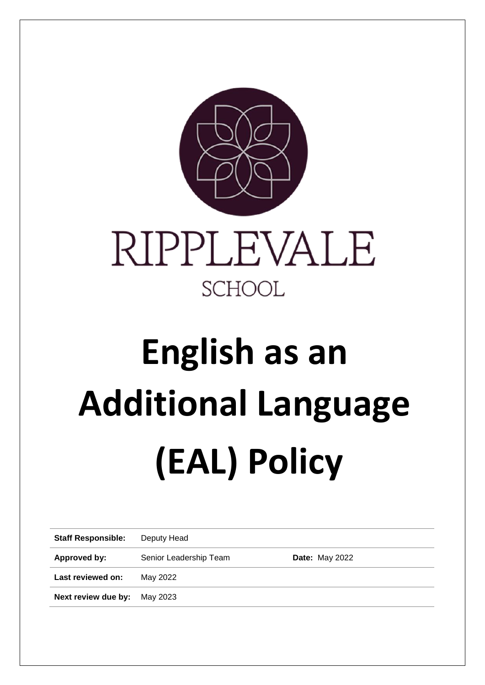

# **English as an Additional Language (EAL) Policy**

| <b>Staff Responsible:</b> | Deputy Head            |                       |
|---------------------------|------------------------|-----------------------|
| Approved by:              | Senior Leadership Team | <b>Date: May 2022</b> |
| Last reviewed on:         | May 2022               |                       |
| Next review due by:       | May 2023               |                       |
|                           |                        |                       |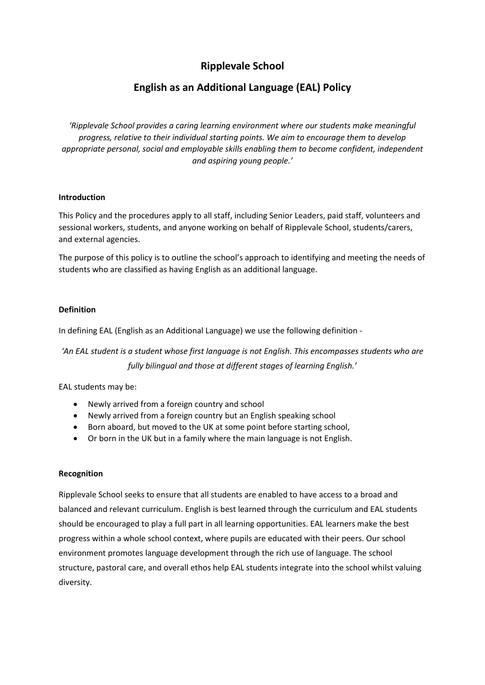# **Ripplevale School**

# **English as an Additional Language (EAL) Policy**

*'Ripplevale School provides a caring learning environment where our students make meaningful progress, relative to their individual starting points. We aim to encourage them to develop appropriate personal, social and employable skills enabling them to become confident, independent and aspiring young people.'*

## **Introduction**

This Policy and the procedures apply to all staff, including Senior Leaders, paid staff, volunteers and sessional workers, students, and anyone working on behalf of Ripplevale School, students/carers, and external agencies.

The purpose of this policy is to outline the school's approach to identifying and meeting the needs of students who are classified as having English as an additional language.

# **Definition**

In defining EAL (English as an Additional Language) we use the following definition -

*'An EAL student is a student whose first language is not English. This encompasses students who are fully bilingual and those at different stages of learning English.'*

EAL students may be:

- Newly arrived from a foreign country and school
- Newly arrived from a foreign country but an English speaking school
- Born aboard, but moved to the UK at some point before starting school,
- Or born in the UK but in a family where the main language is not English.

#### **Recognition**

Ripplevale School seeks to ensure that all students are enabled to have access to a broad and balanced and relevant curriculum. English is best learned through the curriculum and EAL students should be encouraged to play a full part in all learning opportunities. EAL learners make the best progress within a whole school context, where pupils are educated with their peers. Our school environment promotes language development through the rich use of language. The school structure, pastoral care, and overall ethos help EAL students integrate into the school whilst valuing diversity.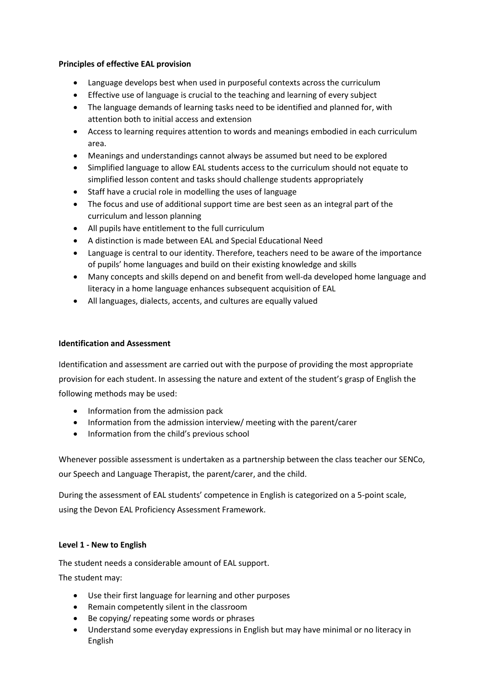# **Principles of effective EAL provision**

- Language develops best when used in purposeful contexts across the curriculum
- Effective use of language is crucial to the teaching and learning of every subject
- The language demands of learning tasks need to be identified and planned for, with attention both to initial access and extension
- Access to learning requires attention to words and meanings embodied in each curriculum area.
- Meanings and understandings cannot always be assumed but need to be explored
- Simplified language to allow EAL students access to the curriculum should not equate to simplified lesson content and tasks should challenge students appropriately
- Staff have a crucial role in modelling the uses of language
- The focus and use of additional support time are best seen as an integral part of the curriculum and lesson planning
- All pupils have entitlement to the full curriculum
- A distinction is made between EAL and Special Educational Need
- Language is central to our identity. Therefore, teachers need to be aware of the importance of pupils' home languages and build on their existing knowledge and skills
- Many concepts and skills depend on and benefit from well-da developed home language and literacy in a home language enhances subsequent acquisition of EAL
- All languages, dialects, accents, and cultures are equally valued

# **Identification and Assessment**

Identification and assessment are carried out with the purpose of providing the most appropriate provision for each student. In assessing the nature and extent of the student's grasp of English the following methods may be used:

- Information from the admission pack
- Information from the admission interview/ meeting with the parent/carer
- Information from the child's previous school

Whenever possible assessment is undertaken as a partnership between the class teacher our SENCo, our Speech and Language Therapist, the parent/carer, and the child.

During the assessment of EAL students' competence in English is categorized on a 5-point scale, using the Devon EAL Proficiency Assessment Framework.

# **Level 1 - New to English**

The student needs a considerable amount of EAL support.

The student may:

- Use their first language for learning and other purposes
- Remain competently silent in the classroom
- Be copying/ repeating some words or phrases
- Understand some everyday expressions in English but may have minimal or no literacy in English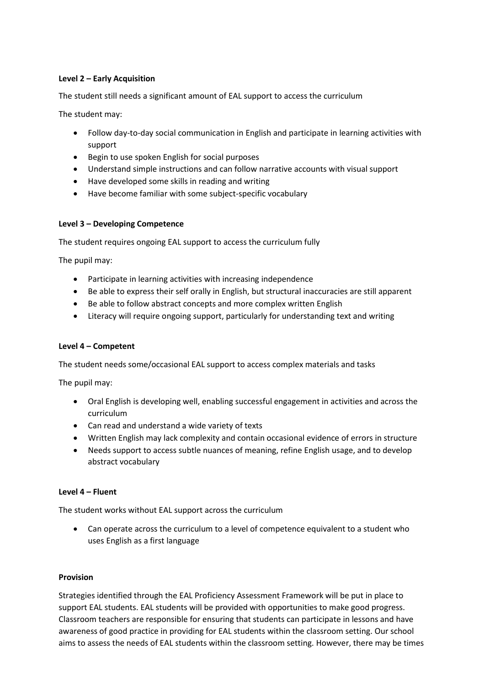# **Level 2 – Early Acquisition**

The student still needs a significant amount of EAL support to access the curriculum

The student may:

- Follow day-to-day social communication in English and participate in learning activities with support
- Begin to use spoken English for social purposes
- Understand simple instructions and can follow narrative accounts with visual support
- Have developed some skills in reading and writing
- Have become familiar with some subject-specific vocabulary

## **Level 3 – Developing Competence**

The student requires ongoing EAL support to access the curriculum fully

The pupil may:

- Participate in learning activities with increasing independence
- Be able to express their self orally in English, but structural inaccuracies are still apparent
- Be able to follow abstract concepts and more complex written English
- Literacy will require ongoing support, particularly for understanding text and writing

#### **Level 4 – Competent**

The student needs some/occasional EAL support to access complex materials and tasks

The pupil may:

- Oral English is developing well, enabling successful engagement in activities and across the curriculum
- Can read and understand a wide variety of texts
- Written English may lack complexity and contain occasional evidence of errors in structure
- Needs support to access subtle nuances of meaning, refine English usage, and to develop abstract vocabulary

#### **Level 4 – Fluent**

The student works without EAL support across the curriculum

• Can operate across the curriculum to a level of competence equivalent to a student who uses English as a first language

#### **Provision**

Strategies identified through the EAL Proficiency Assessment Framework will be put in place to support EAL students. EAL students will be provided with opportunities to make good progress. Classroom teachers are responsible for ensuring that students can participate in lessons and have awareness of good practice in providing for EAL students within the classroom setting. Our school aims to assess the needs of EAL students within the classroom setting. However, there may be times